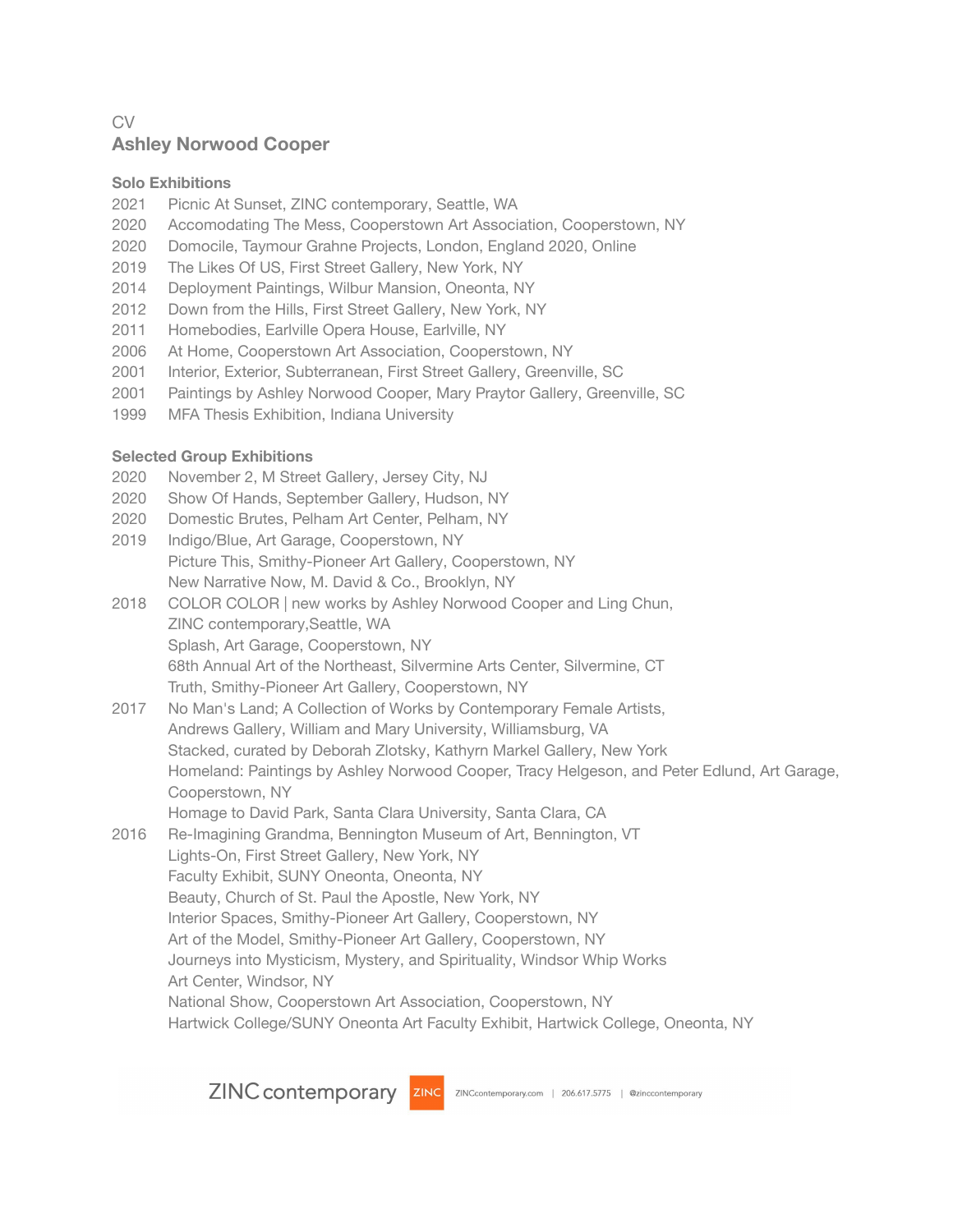# CV **Ashley Norwood Cooper**

## **Solo Exhibitions**

- 2021 Picnic At Sunset, ZINC contemporary, Seattle, WA
- 2020 Accomodating The Mess, Cooperstown Art Association, Cooperstown, NY
- 2020 Domocile, Taymour Grahne Projects, London, England 2020, Online
- 2019 The Likes Of US, First Street Gallery, New York, NY
- 2014 Deployment Paintings, Wilbur Mansion, Oneonta, NY
- 2012 Down from the Hills, First Street Gallery, New York, NY
- 2011 Homebodies, Earlville Opera House, Earlville, NY
- 2006 At Home, Cooperstown Art Association, Cooperstown, NY
- 2001 Interior, Exterior, Subterranean, First Street Gallery, Greenville, SC
- 2001 Paintings by Ashley Norwood Cooper, Mary Praytor Gallery, Greenville, SC
- 1999 MFA Thesis Exhibition, Indiana University

# **Selected Group Exhibitions**

- 2020 November 2, M Street Gallery, Jersey City, NJ
- 2020 Show Of Hands, September Gallery, Hudson, NY
- 2020 Domestic Brutes, Pelham Art Center, Pelham, NY
- 2019 Indigo/Blue, Art Garage, Cooperstown, NY Picture This, Smithy-Pioneer Art Gallery, Cooperstown, NY New Narrative Now, M. David & Co., Brooklyn, NY
- 2018 COLOR COLOR | new works by Ashley Norwood Cooper and Ling Chun, ZINC contemporary,Seattle, WA Splash, Art Garage, Cooperstown, NY 68th Annual Art of the Northeast, Silvermine Arts Center, Silvermine, CT Truth, Smithy-Pioneer Art Gallery, Cooperstown, NY
- 2017 No Man's Land; A Collection of Works by Contemporary Female Artists, Andrews Gallery, William and Mary University, Williamsburg, VA Stacked, curated by Deborah Zlotsky, Kathyrn Markel Gallery, New York Homeland: Paintings by Ashley Norwood Cooper, Tracy Helgeson, and Peter Edlund, Art Garage, Cooperstown, NY Homage to David Park, Santa Clara University, Santa Clara, CA
- 2016 Re-Imagining Grandma, Bennington Museum of Art, Bennington, VT Lights-On, First Street Gallery, New York, NY Faculty Exhibit, SUNY Oneonta, Oneonta, NY Beauty, Church of St. Paul the Apostle, New York, NY Interior Spaces, Smithy-Pioneer Art Gallery, Cooperstown, NY Art of the Model, Smithy-Pioneer Art Gallery, Cooperstown, NY Journeys into Mysticism, Mystery, and Spirituality, Windsor Whip Works Art Center, Windsor, NY National Show, Cooperstown Art Association, Cooperstown, NY Hartwick College/SUNY Oneonta Art Faculty Exhibit, Hartwick College, Oneonta, NY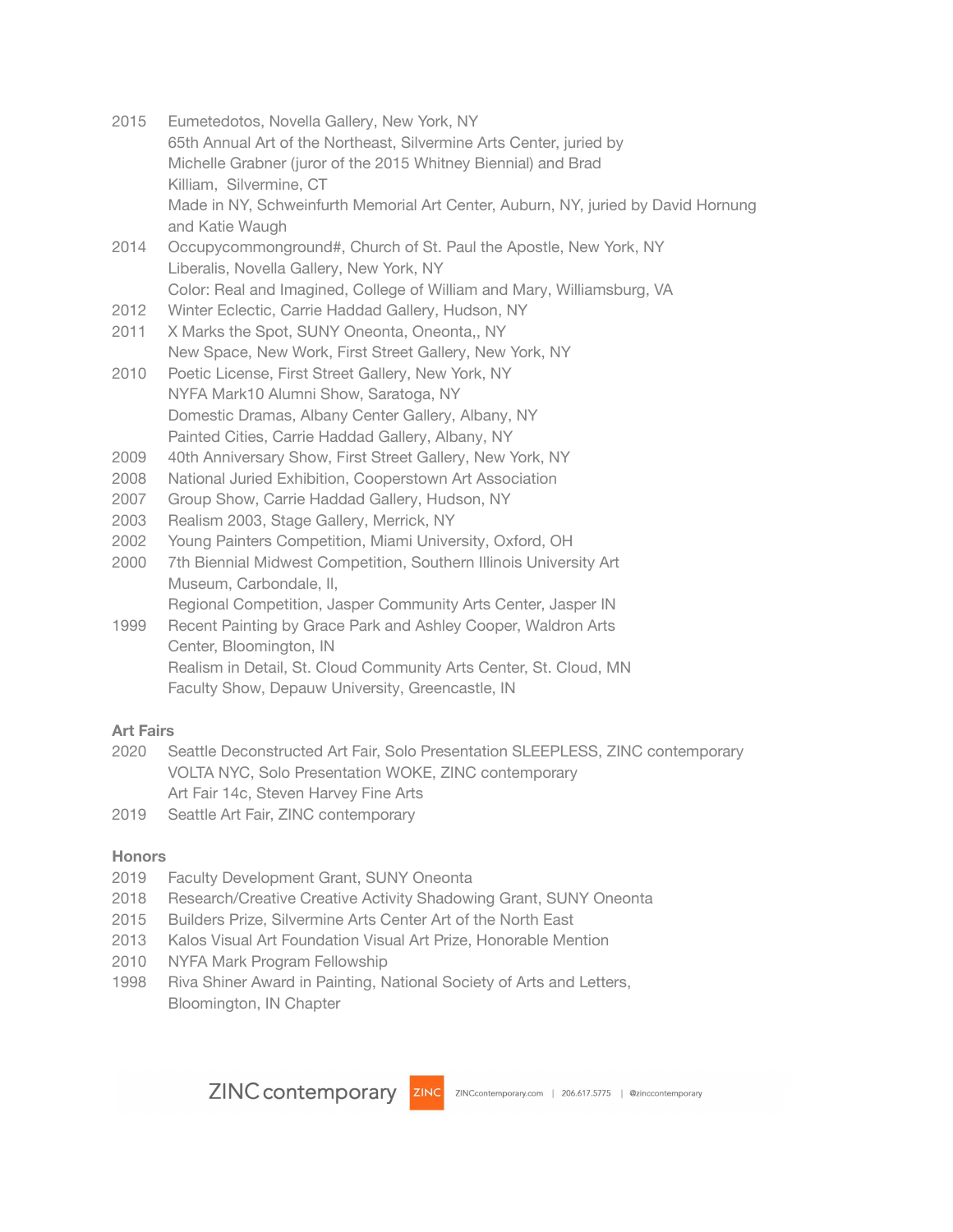- 2015 Eumetedotos, Novella Gallery, New York, NY 65th Annual Art of the Northeast, Silvermine Arts Center, juried by Michelle Grabner (juror of the 2015 Whitney Biennial) and Brad Killiam, Silvermine, CT Made in NY, Schweinfurth Memorial Art Center, Auburn, NY, juried by David Hornung and Katie Waugh
- 2014 Occupycommonground#, Church of St. Paul the Apostle, New York, NY Liberalis, Novella Gallery, New York, NY Color: Real and Imagined, College of William and Mary, Williamsburg, VA
- 2012 Winter Eclectic, Carrie Haddad Gallery, Hudson, NY
- 2011 X Marks the Spot, SUNY Oneonta, Oneonta,, NY New Space, New Work, First Street Gallery, New York, NY
- 2010 Poetic License, First Street Gallery, New York, NY NYFA Mark10 Alumni Show, Saratoga, NY Domestic Dramas, Albany Center Gallery, Albany, NY Painted Cities, Carrie Haddad Gallery, Albany, NY
- 2009 40th Anniversary Show, First Street Gallery, New York, NY
- 2008 National Juried Exhibition, Cooperstown Art Association
- 2007 Group Show, Carrie Haddad Gallery, Hudson, NY
- 2003 Realism 2003, Stage Gallery, Merrick, NY
- 2002 Young Painters Competition, Miami University, Oxford, OH
- 2000 7th Biennial Midwest Competition, Southern Illinois University Art Museum, Carbondale, Il, Regional Competition, Jasper Community Arts Center, Jasper IN
- 1999 Recent Painting by Grace Park and Ashley Cooper, Waldron Arts Center, Bloomington, IN Realism in Detail, St. Cloud Community Arts Center, St. Cloud, MN Faculty Show, Depauw University, Greencastle, IN

### **Art Fairs**

- 2020 Seattle Deconstructed Art Fair, Solo Presentation SLEEPLESS, ZINC contemporary VOLTA NYC, Solo Presentation WOKE, ZINC contemporary Art Fair 14c, Steven Harvey Fine Arts
- 2019 Seattle Art Fair, ZINC contemporary

### **Honors**

- 2019 Faculty Development Grant, SUNY Oneonta
- 2018 Research/Creative Creative Activity Shadowing Grant, SUNY Oneonta
- 2015 Builders Prize, Silvermine Arts Center Art of the North East
- 2013 Kalos Visual Art Foundation Visual Art Prize, Honorable Mention
- 2010 NYFA Mark Program Fellowship
- 1998 Riva Shiner Award in Painting, National Society of Arts and Letters, Bloomington, IN Chapter

ZINC contemporary